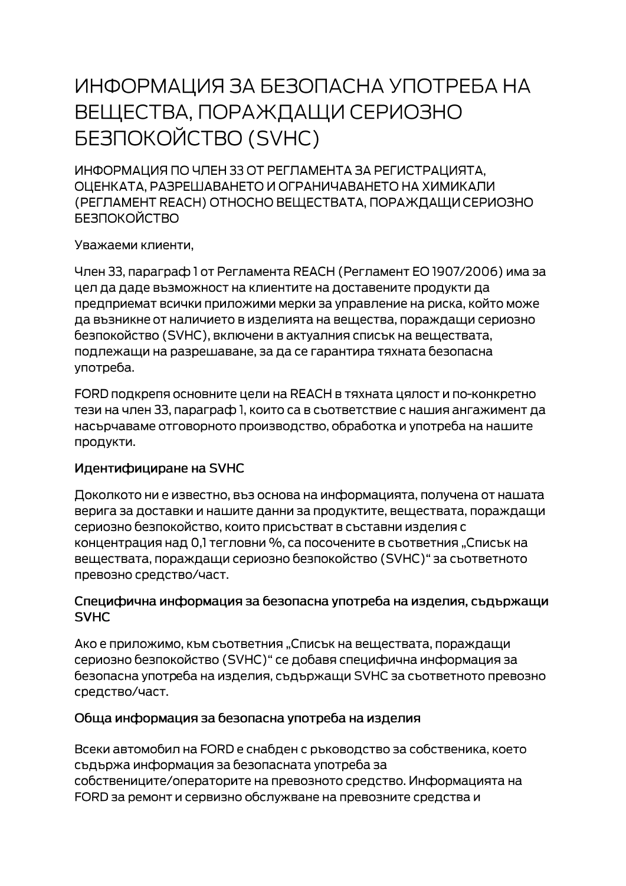# ИНФОРМАЦИЯ ЗА БЕЗОПАСНА УПОТРЕБА НА ВЕЩЕСТВА, ПОРАЖДАЩИ СЕРИОЗНО **БЕЗПОКОЙСТВО (SVHC)**

ИНФОРМАЦИЯ ПО ЧЛЕН 33 ОТ РЕГЛАМЕНТА ЗА РЕГИСТРАЦИЯТА. ОЦЕНКАТА, РАЗРЕШАВАНЕТО И ОГРАНИЧАВАНЕТО НА ХИМИКАЛИ (РЕГЛАМЕНТ REACH) ОТНОСНО ВЕЩЕСТВАТА, ПОРАЖДАЩИ СЕРИОЗНО **БЕЗПОКОЙСТВО** 

Уважаеми клиенти,

Член 33, параграф 1 от Регламента REACH (Регламент ЕО 1907/2006) има за цел да даде възможност на клиентите на доставените продукти да предприемат всички приложими мерки за управление на риска, който може да възникне от наличието в изделията на вещества, пораждащи сериозно безпокойство (SVHC), включени в актуалния списък на веществата, подлежащи на разрешаване, за да се гарантира тяхната безопасна употреба.

FORD подкрепя основните цели на REACH в тяхната цялост и по-конкретно тези на член 33, параграф 1, които са в съответствие с нашия ангажимент да насърчаваме отговорното производство, обработка и употреба на нашите продукти.

#### Идентифициране на SVHC

Доколкото ни е известно, въз основа на информацията, получена от нашата верига за доставки и нашите данни за продуктите, веществата, пораждащи сериозно безпокойство, които присъстват в съставни изделия с концентрация над 0,1 тегловни %, са посочените в съответния "Списък на веществата, пораждащи сериозно безпокойство (SVHC)" за съответното превозно средство/част.

#### Специфична информация за безопасна употреба на изделия, съдържащи **SVHC**

Ако е приложимо, към съответния "Списък на веществата, пораждащи сериозно безпокойство (SVHC)" се добавя специфична информация за безопасна употреба на изделия, съдържащи SVHC за съответното превозно средство/част.

#### Обща информация за безопасна употреба на изделия

Всеки автомобил на FORD е снабден с ръководство за собственика, което съдържа информация за безопасната употреба за собствениците/операторите на превозното средство. Информацията на FORD за ремонт и сервизно обслужване на превозните средства и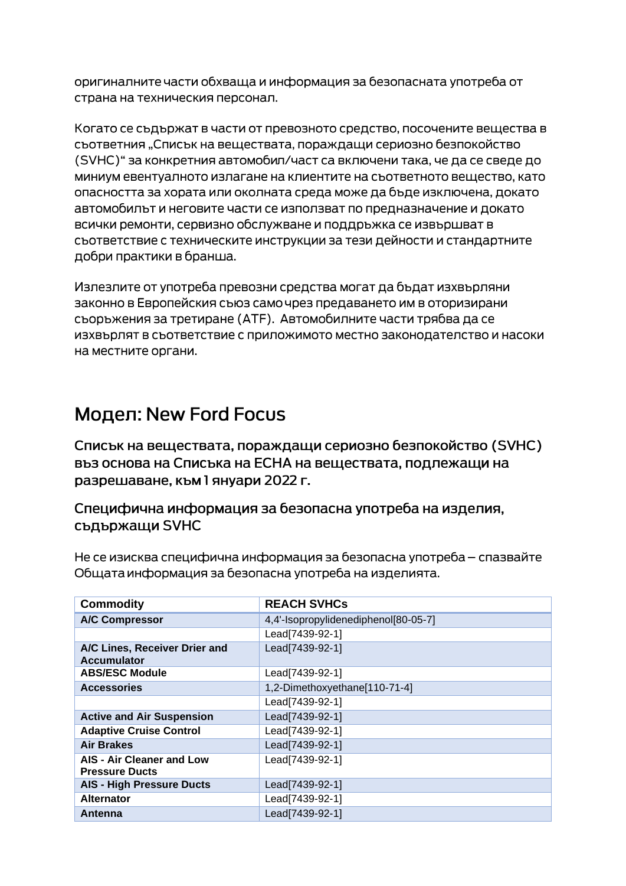оригиналните части обхваща и информация за безопасната употреба от страна на техническия персонал.

Когато се съдържат в части от превозното средство, посочените вещества в сьответния "Списък на вешествата, пораждащи сериозно безпокойство (SVHC)" за конкретния автомобил/част са включени така, че да се сведе до миниум евентуалното излагане на клиентите на съответното вещество, като опасността за хората или околната среда може да бъде изключена, докато автомобилът и неговите части се използват по предназначение и докато всички ремонти, сервизно обслужване и поддръжка се извършват в съответствие с техническите инструкции за тези дейности и стандартните добри практики в бранша.

Излезлите от употреба превозни средства могат да бъдат изхвърляни законно в Европейския съюз само чрез предаването им в оторизирани сьоръжения за третиране (АТЕ). Автомобилните части трябва да се изхвърлят в съответствие с приложимото местно законодателство и насоки на местните органи.

## Модел: New Ford Focus

Списък на веществата, пораждащи сериозно безпокойство (SVHC) въз основа на Списъка на ЕСНА на веществата, подлежащи на разрешаване, към 1 януари 2022 г.

### Специфична информация за безопасна употреба на изделия, съдържащи SVHC

Не се изисква специфична информация за безопасна употреба – спазвайте Общата информация за безопасна употреба на изделията.

| <b>Commodity</b>                                    | <b>REACH SVHCs</b>                   |
|-----------------------------------------------------|--------------------------------------|
| <b>A/C Compressor</b>                               | 4,4'-Isopropylidenediphenol[80-05-7] |
|                                                     | Lead[7439-92-1]                      |
| A/C Lines, Receiver Drier and<br><b>Accumulator</b> | Lead[7439-92-1]                      |
| <b>ABS/ESC Module</b>                               | Lead[7439-92-1]                      |
| <b>Accessories</b>                                  | 1,2-Dimethoxyethane[110-71-4]        |
|                                                     | Lead[7439-92-1]                      |
| <b>Active and Air Suspension</b>                    | Lead[7439-92-1]                      |
| <b>Adaptive Cruise Control</b>                      | Lead[7439-92-1]                      |
| <b>Air Brakes</b>                                   | Lead[7439-92-1]                      |
| AIS - Air Cleaner and Low<br><b>Pressure Ducts</b>  | Lead[7439-92-1]                      |
| <b>AIS - High Pressure Ducts</b>                    | Lead[7439-92-1]                      |
| <b>Alternator</b>                                   | Lead[7439-92-1]                      |
| Antenna                                             | Lead[7439-92-1]                      |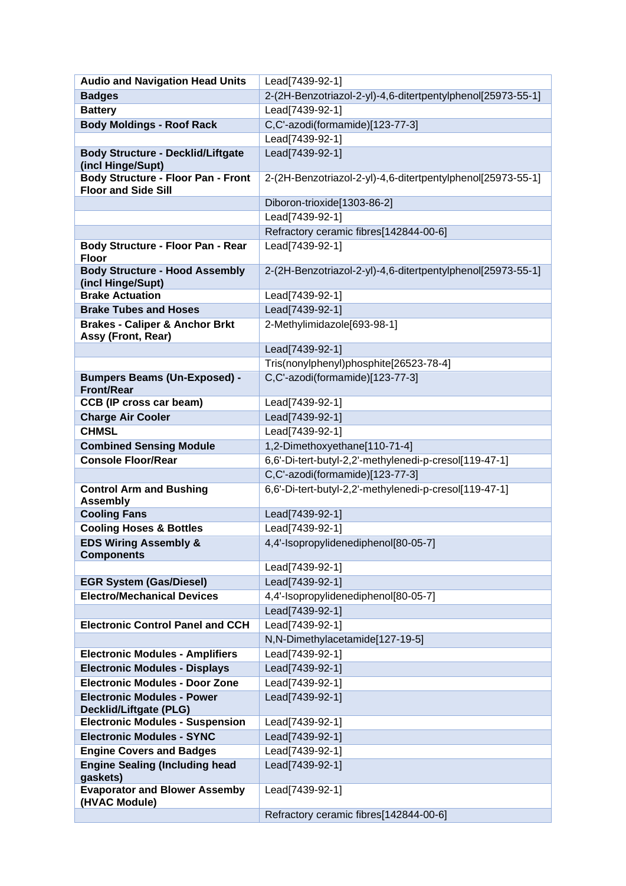| <b>Audio and Navigation Head Units</b>                                  | Lead[7439-92-1]                                             |
|-------------------------------------------------------------------------|-------------------------------------------------------------|
| <b>Badges</b>                                                           | 2-(2H-Benzotriazol-2-yl)-4,6-ditertpentylphenol[25973-55-1] |
| <b>Battery</b>                                                          | Lead[7439-92-1]                                             |
| <b>Body Moldings - Roof Rack</b>                                        | C,C'-azodi(formamide)[123-77-3]                             |
|                                                                         | Lead[7439-92-1]                                             |
| <b>Body Structure - Decklid/Liftgate</b><br>(incl Hinge/Supt)           | Lead[7439-92-1]                                             |
| <b>Body Structure - Floor Pan - Front</b><br><b>Floor and Side Sill</b> | 2-(2H-Benzotriazol-2-yl)-4,6-ditertpentylphenol[25973-55-1] |
|                                                                         | Diboron-trioxide[1303-86-2]                                 |
|                                                                         | Lead[7439-92-1]                                             |
|                                                                         | Refractory ceramic fibres[142844-00-6]                      |
| Body Structure - Floor Pan - Rear<br><b>Floor</b>                       | Lead[7439-92-1]                                             |
| <b>Body Structure - Hood Assembly</b><br>(incl Hinge/Supt)              | 2-(2H-Benzotriazol-2-yl)-4,6-ditertpentylphenol[25973-55-1] |
| <b>Brake Actuation</b>                                                  | Lead[7439-92-1]                                             |
| <b>Brake Tubes and Hoses</b>                                            | Lead[7439-92-1]                                             |
| <b>Brakes - Caliper &amp; Anchor Brkt</b><br>Assy (Front, Rear)         | 2-Methylimidazole[693-98-1]                                 |
|                                                                         | Lead[7439-92-1]                                             |
|                                                                         | Tris(nonylphenyl)phosphite[26523-78-4]                      |
| <b>Bumpers Beams (Un-Exposed) -</b>                                     | C,C'-azodi(formamide)[123-77-3]                             |
| <b>Front/Rear</b>                                                       |                                                             |
| <b>CCB (IP cross car beam)</b>                                          | Lead[7439-92-1]                                             |
| <b>Charge Air Cooler</b><br><b>CHMSL</b>                                | Lead[7439-92-1]                                             |
|                                                                         | Lead[7439-92-1]                                             |
| <b>Combined Sensing Module</b>                                          | 1,2-Dimethoxyethane[110-71-4]                               |
| <b>Console Floor/Rear</b>                                               | 6,6'-Di-tert-butyl-2,2'-methylenedi-p-cresol[119-47-1]      |
|                                                                         | C,C'-azodi(formamide)[123-77-3]                             |
| <b>Control Arm and Bushing</b><br><b>Assembly</b>                       | 6,6'-Di-tert-butyl-2,2'-methylenedi-p-cresol[119-47-1]      |
| <b>Cooling Fans</b>                                                     | Lead[7439-92-1]                                             |
| <b>Cooling Hoses &amp; Bottles</b>                                      | Lead[7439-92-1]                                             |
| <b>EDS Wiring Assembly &amp;</b>                                        | 4,4'-Isopropylidenediphenol[80-05-7]                        |
| <b>Components</b>                                                       |                                                             |
|                                                                         | Lead[7439-92-1]                                             |
| <b>EGR System (Gas/Diesel)</b>                                          | Lead[7439-92-1]                                             |
| <b>Electro/Mechanical Devices</b>                                       | 4,4'-Isopropylidenediphenol[80-05-7]                        |
|                                                                         | Lead[7439-92-1]                                             |
| <b>Electronic Control Panel and CCH</b>                                 | Lead[7439-92-1]                                             |
|                                                                         | N,N-Dimethylacetamide[127-19-5]                             |
| <b>Electronic Modules - Amplifiers</b>                                  | Lead[7439-92-1]                                             |
| <b>Electronic Modules - Displays</b>                                    | Lead[7439-92-1]                                             |
| <b>Electronic Modules - Door Zone</b>                                   | Lead[7439-92-1]                                             |
| <b>Electronic Modules - Power</b><br><b>Decklid/Liftgate (PLG)</b>      | Lead[7439-92-1]                                             |
| <b>Electronic Modules - Suspension</b>                                  | Lead[7439-92-1]                                             |
| <b>Electronic Modules - SYNC</b>                                        | Lead[7439-92-1]                                             |
| <b>Engine Covers and Badges</b>                                         | Lead[7439-92-1]                                             |
| <b>Engine Sealing (Including head</b><br>gaskets)                       | Lead[7439-92-1]                                             |
| <b>Evaporator and Blower Assemby</b><br>(HVAC Module)                   | Lead[7439-92-1]                                             |
|                                                                         | Refractory ceramic fibres[142844-00-6]                      |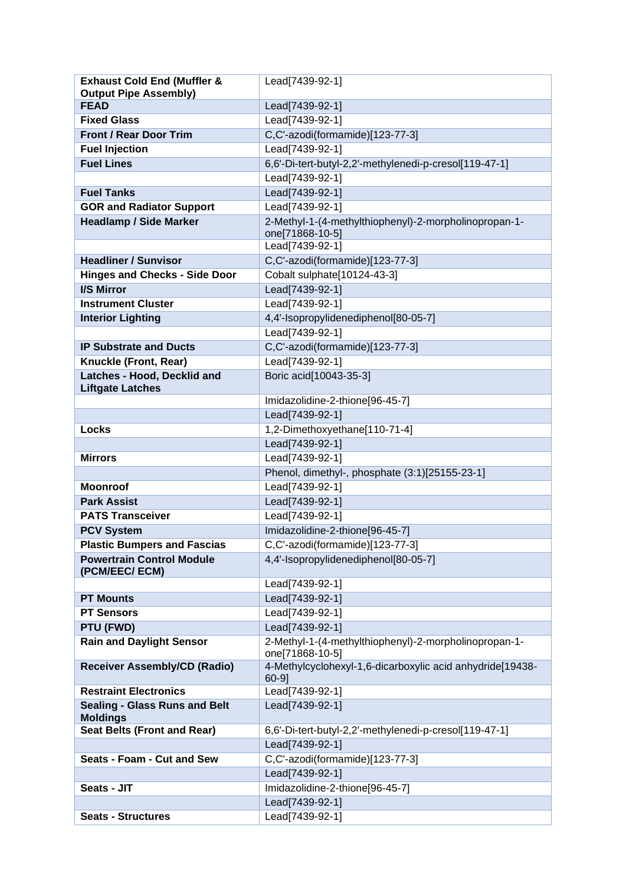| <b>Exhaust Cold End (Muffler &amp;</b>                  | Lead[7439-92-1]                                                          |
|---------------------------------------------------------|--------------------------------------------------------------------------|
| <b>Output Pipe Assembly)</b>                            |                                                                          |
| <b>FEAD</b>                                             | Lead[7439-92-1]                                                          |
| <b>Fixed Glass</b>                                      | Lead[7439-92-1]                                                          |
| <b>Front / Rear Door Trim</b>                           | C,C'-azodi(formamide)[123-77-3]                                          |
| <b>Fuel Injection</b>                                   | Lead[7439-92-1]                                                          |
| <b>Fuel Lines</b>                                       | 6,6'-Di-tert-butyl-2,2'-methylenedi-p-cresol[119-47-1]                   |
|                                                         | Lead[7439-92-1]                                                          |
| <b>Fuel Tanks</b>                                       | Lead[7439-92-1]                                                          |
| <b>GOR and Radiator Support</b>                         | Lead[7439-92-1]                                                          |
| <b>Headlamp / Side Marker</b>                           | 2-Methyl-1-(4-methylthiophenyl)-2-morpholinopropan-1-                    |
|                                                         | one[71868-10-5]                                                          |
|                                                         | Lead[7439-92-1]                                                          |
| <b>Headliner / Sunvisor</b>                             | C,C'-azodi(formamide)[123-77-3]                                          |
| <b>Hinges and Checks - Side Door</b>                    | Cobalt sulphate[10124-43-3]                                              |
| I/S Mirror                                              | Lead[7439-92-1]                                                          |
| <b>Instrument Cluster</b>                               | Lead[7439-92-1]                                                          |
| <b>Interior Lighting</b>                                | 4,4'-Isopropylidenediphenol[80-05-7]                                     |
|                                                         | Lead[7439-92-1]                                                          |
| <b>IP Substrate and Ducts</b>                           | C,C'-azodi(formamide)[123-77-3]                                          |
| Knuckle (Front, Rear)                                   | Lead[7439-92-1]                                                          |
| <b>Latches - Hood, Decklid and</b>                      | Boric acid[10043-35-3]                                                   |
| <b>Liftgate Latches</b>                                 |                                                                          |
|                                                         | Imidazolidine-2-thione[96-45-7]                                          |
|                                                         | Lead[7439-92-1]                                                          |
| <b>Locks</b>                                            | 1,2-Dimethoxyethane[110-71-4]                                            |
|                                                         | Lead[7439-92-1]                                                          |
| <b>Mirrors</b>                                          | Lead[7439-92-1]                                                          |
|                                                         | Phenol, dimethyl-, phosphate (3:1)[25155-23-1]                           |
| <b>Moonroof</b>                                         | Lead[7439-92-1]                                                          |
| <b>Park Assist</b>                                      | Lead[7439-92-1]                                                          |
| <b>PATS Transceiver</b>                                 | Lead[7439-92-1]                                                          |
| <b>PCV System</b>                                       | Imidazolidine-2-thione[96-45-7]                                          |
| <b>Plastic Bumpers and Fascias</b>                      | C,C'-azodi(formamide)[123-77-3]                                          |
| <b>Powertrain Control Module</b><br>(PCM/EEC/ECM)       | 4,4'-Isopropylidenediphenol[80-05-7]                                     |
|                                                         | Lead[7439-92-1]                                                          |
| <b>PT Mounts</b>                                        | Lead[7439-92-1]                                                          |
| <b>PT Sensors</b>                                       | Lead[7439-92-1]                                                          |
| PTU (FWD)                                               | Lead[7439-92-1]                                                          |
| <b>Rain and Daylight Sensor</b>                         | 2-Methyl-1-(4-methylthiophenyl)-2-morpholinopropan-1-<br>one[71868-10-5] |
| <b>Receiver Assembly/CD (Radio)</b>                     | 4-Methylcyclohexyl-1,6-dicarboxylic acid anhydride[19438-<br>$60-9$ ]    |
| <b>Restraint Electronics</b>                            | Lead[7439-92-1]                                                          |
| <b>Sealing - Glass Runs and Belt</b><br><b>Moldings</b> | Lead[7439-92-1]                                                          |
| <b>Seat Belts (Front and Rear)</b>                      | 6,6'-Di-tert-butyl-2,2'-methylenedi-p-cresol[119-47-1]                   |
|                                                         | Lead[7439-92-1]                                                          |
| Seats - Foam - Cut and Sew                              | C,C'-azodi(formamide)[123-77-3]                                          |
|                                                         | Lead[7439-92-1]                                                          |
| Seats - JIT                                             | Imidazolidine-2-thione[96-45-7]                                          |
|                                                         | Lead[7439-92-1]                                                          |
| <b>Seats - Structures</b>                               | Lead[7439-92-1]                                                          |
|                                                         |                                                                          |